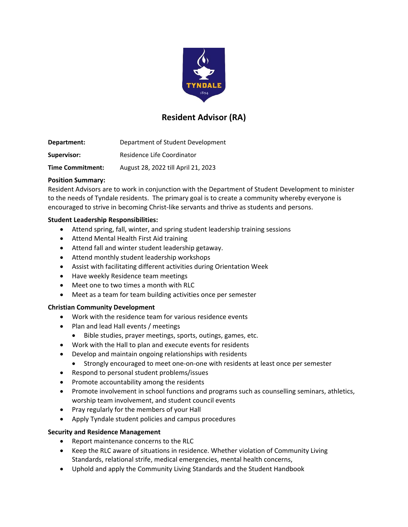

# **Resident Advisor (RA)**

| Department:             | Department of Student Development   |
|-------------------------|-------------------------------------|
| Supervisor:             | Residence Life Coordinator          |
| <b>Time Commitment:</b> | August 28, 2022 till April 21, 2023 |

## **Position Summary:**

Resident Advisors are to work in conjunction with the Department of Student Development to minister to the needs of Tyndale residents. The primary goal is to create a community whereby everyone is encouraged to strive in becoming Christ-like servants and thrive as students and persons.

## **Student Leadership Responsibilities:**

- Attend spring, fall, winter, and spring student leadership training sessions
- Attend Mental Health First Aid training
- Attend fall and winter student leadership getaway.
- Attend monthly student leadership workshops
- Assist with facilitating different activities during Orientation Week
- Have weekly Residence team meetings
- Meet one to two times a month with RLC
- Meet as a team for team building activities once per semester

### **Christian Community Development**

- Work with the residence team for various residence events
- Plan and lead Hall events / meetings
	- Bible studies, prayer meetings, sports, outings, games, etc.
- Work with the Hall to plan and execute events for residents
- Develop and maintain ongoing relationships with residents
	- Strongly encouraged to meet one-on-one with residents at least once per semester
- Respond to personal student problems/issues
- Promote accountability among the residents
- Promote involvement in school functions and programs such as counselling seminars, athletics, worship team involvement, and student council events
- Pray regularly for the members of your Hall
- Apply Tyndale student policies and campus procedures

### **Security and Residence Management**

- Report maintenance concerns to the RLC
- Keep the RLC aware of situations in residence. Whether violation of Community Living Standards, relational strife, medical emergencies, mental health concerns,
- Uphold and apply the Community Living Standards and the Student Handbook